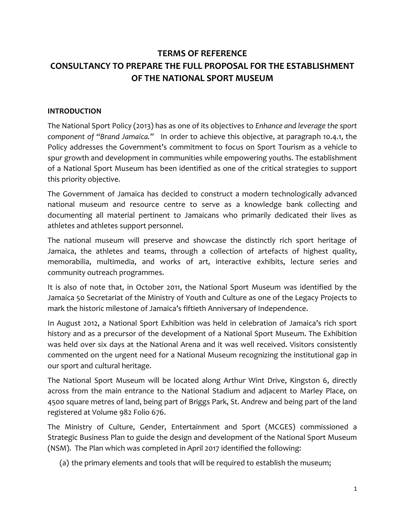# **TERMS OF REFERENCE CONSULTANCY TO PREPARE THE FULL PROPOSAL FOR THE ESTABLISHMENT OF THE NATIONAL SPORT MUSEUM**

#### **INTRODUCTION**

The National Sport Policy (2013) has as one of its objectives to *Enhance and leverage the sport component of "Brand Jamaica."* In order to achieve this objective, at paragraph 10.4.1, the Policy addresses the Government's commitment to focus on Sport Tourism as a vehicle to spur growth and development in communities while empowering youths. The establishment of a National Sport Museum has been identified as one of the critical strategies to support this priority objective.

The Government of Jamaica has decided to construct a modern technologically advanced national museum and resource centre to serve as a knowledge bank collecting and documenting all material pertinent to Jamaicans who primarily dedicated their lives as athletes and athletes support personnel.

The national museum will preserve and showcase the distinctly rich sport heritage of Jamaica, the athletes and teams, through a collection of artefacts of highest quality, memorabilia, multimedia, and works of art, interactive exhibits, lecture series and community outreach programmes.

It is also of note that, in October 2011, the National Sport Museum was identified by the Jamaica 50 Secretariat of the Ministry of Youth and Culture as one of the Legacy Projects to mark the historic milestone of Jamaica's fiftieth Anniversary of Independence.

In August 2012, a National Sport Exhibition was held in celebration of Jamaica's rich sport history and as a precursor of the development of a National Sport Museum. The Exhibition was held over six days at the National Arena and it was well received. Visitors consistently commented on the urgent need for a National Museum recognizing the institutional gap in our sport and cultural heritage.

The National Sport Museum will be located along Arthur Wint Drive, Kingston 6, directly across from the main entrance to the National Stadium and adjacent to Marley Place, on 4500 square metres of land, being part of Briggs Park, St. Andrew and being part of the land registered at Volume 982 Folio 676.

The Ministry of Culture, Gender, Entertainment and Sport (MCGES) commissioned a Strategic Business Plan to guide the design and development of the National Sport Museum (NSM). The Plan which was completed in April 2017 identified the following:

(a) the primary elements and tools that will be required to establish the museum;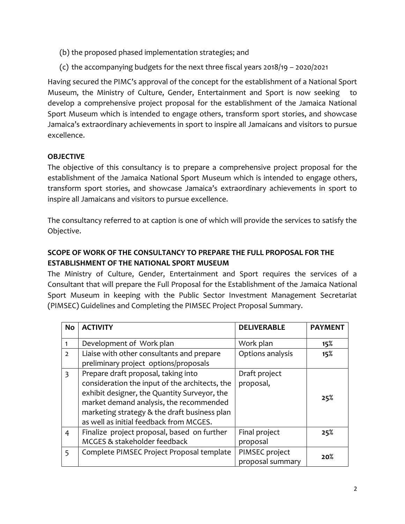- (b) the proposed phased implementation strategies; and
- (c) the accompanying budgets for the next three fiscal years 2018/19 2020/2021

Having secured the PIMC's approval of the concept for the establishment of a National Sport Museum, the Ministry of Culture, Gender, Entertainment and Sport is now seeking develop a comprehensive project proposal for the establishment of the Jamaica National Sport Museum which is intended to engage others, transform sport stories, and showcase Jamaica's extraordinary achievements in sport to inspire all Jamaicans and visitors to pursue excellence.

# **OBJECTIVE**

The objective of this consultancy is to prepare a comprehensive project proposal for the establishment of the Jamaica National Sport Museum which is intended to engage others, transform sport stories, and showcase Jamaica's extraordinary achievements in sport to inspire all Jamaicans and visitors to pursue excellence.

The consultancy referred to at caption is one of which will provide the services to satisfy the Objective.

# **SCOPE OF WORK OF THE CONSULTANCY TO PREPARE THE FULL PROPOSAL FOR THE ESTABLISHMENT OF THE NATIONAL SPORT MUSEUM**

The Ministry of Culture, Gender, Entertainment and Sport requires the services of a Consultant that will prepare the Full Proposal for the Establishment of the Jamaica National Sport Museum in keeping with the Public Sector Investment Management Secretariat (PIMSEC) Guidelines and Completing the PIMSEC Project Proposal Summary.

| <b>No</b>      | <b>ACTIVITY</b>                                | <b>DELIVERABLE</b> | <b>PAYMENT</b> |
|----------------|------------------------------------------------|--------------------|----------------|
| 1              | Development of Work plan                       | Work plan          | 15%            |
| $\overline{2}$ | Liaise with other consultants and prepare      | Options analysis   | 15%            |
|                | preliminary project options/proposals          |                    |                |
| $\overline{3}$ | Prepare draft proposal, taking into            | Draft project      |                |
|                | consideration the input of the architects, the | proposal,          |                |
|                | exhibit designer, the Quantity Surveyor, the   |                    | 25%            |
|                | market demand analysis, the recommended        |                    |                |
|                | marketing strategy & the draft business plan   |                    |                |
|                | as well as initial feedback from MCGES.        |                    |                |
| $\overline{4}$ | Finalize project proposal, based on further    | Final project      | 25%            |
|                | MCGES & stakeholder feedback                   | proposal           |                |
| 5              | Complete PIMSEC Project Proposal template      | PIMSEC project     | 20%            |
|                |                                                | proposal summary   |                |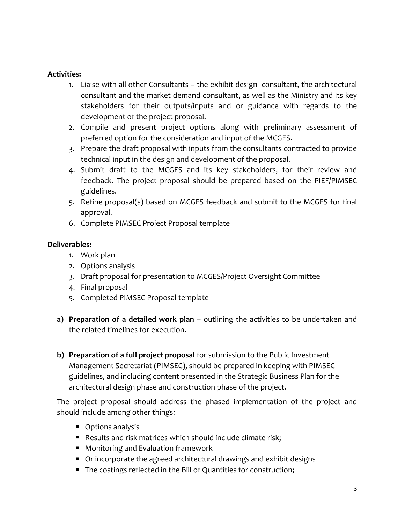#### **Activities:**

- 1. Liaise with all other Consultants the exhibit design consultant, the architectural consultant and the market demand consultant, as well as the Ministry and its key stakeholders for their outputs/inputs and or guidance with regards to the development of the project proposal.
- 2. Compile and present project options along with preliminary assessment of preferred option for the consideration and input of the MCGES.
- 3. Prepare the draft proposal with inputs from the consultants contracted to provide technical input in the design and development of the proposal.
- 4. Submit draft to the MCGES and its key stakeholders, for their review and feedback. The project proposal should be prepared based on the PIEF/PIMSEC guidelines.
- 5. Refine proposal(s) based on MCGES feedback and submit to the MCGES for final approval.
- 6. Complete PIMSEC Project Proposal template

## **Deliverables:**

- 1. Work plan
- 2. Options analysis
- 3. Draft proposal for presentation to MCGES/Project Oversight Committee
- 4. Final proposal
- 5. Completed PIMSEC Proposal template
- **a) Preparation of a detailed work plan** outlining the activities to be undertaken and the related timelines for execution.
- **b) Preparation of a full project proposal** for submission to the Public Investment Management Secretariat (PIMSEC), should be prepared in keeping with PIMSEC guidelines, and including content presented in the Strategic Business Plan for the architectural design phase and construction phase of the project.

The project proposal should address the phased implementation of the project and should include among other things:

- **•** Options analysis
- Results and risk matrices which should include climate risk;
- Monitoring and Evaluation framework
- Or incorporate the agreed architectural drawings and exhibit designs
- The costings reflected in the Bill of Quantities for construction;